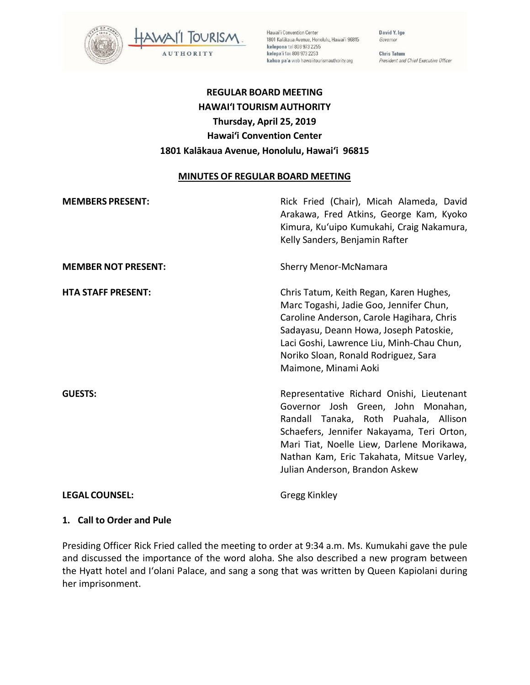

Hawai'i Convention Center 1801 Kalākaua Avenue, Honolulu, Hawai'i 96815 kelepona tel 808 973 2255 kelepa'i fax 808 973 2253 kahua pa'a web hawaiitourismauthority.org

David Y. Ige Governor

**Chris Tatum** President and Chief Executive Officer

# **REGULAR BOARD MEETING HAWAI'I TOURISM AUTHORITY Thursday, April 25, 2019 Hawai'i Convention Center 1801 Kalākaua Avenue, Honolulu, Hawai'i 96815**

#### **MINUTES OF REGULAR BOARD MEETING**

| <b>MEMBERS PRESENT:</b>    | Rick Fried (Chair), Micah Alameda, David<br>Arakawa, Fred Atkins, George Kam, Kyoko<br>Kimura, Ku'uipo Kumukahi, Craig Nakamura,<br>Kelly Sanders, Benjamin Rafter                                                                                                                                |
|----------------------------|---------------------------------------------------------------------------------------------------------------------------------------------------------------------------------------------------------------------------------------------------------------------------------------------------|
| <b>MEMBER NOT PRESENT:</b> | <b>Sherry Menor-McNamara</b>                                                                                                                                                                                                                                                                      |
| <b>HTA STAFF PRESENT:</b>  | Chris Tatum, Keith Regan, Karen Hughes,<br>Marc Togashi, Jadie Goo, Jennifer Chun,<br>Caroline Anderson, Carole Hagihara, Chris<br>Sadayasu, Deann Howa, Joseph Patoskie,<br>Laci Goshi, Lawrence Liu, Minh-Chau Chun,<br>Noriko Sloan, Ronald Rodriguez, Sara<br>Maimone, Minami Aoki            |
| <b>GUESTS:</b>             | Representative Richard Onishi, Lieutenant<br>Governor Josh Green, John Monahan,<br>Randall Tanaka, Roth Puahala, Allison<br>Schaefers, Jennifer Nakayama, Teri Orton,<br>Mari Tiat, Noelle Liew, Darlene Morikawa,<br>Nathan Kam, Eric Takahata, Mitsue Varley,<br>Julian Anderson, Brandon Askew |
| <b>LEGAL COUNSEL:</b>      | Gregg Kinkley                                                                                                                                                                                                                                                                                     |

#### **1. Call to Order and Pule**

Presiding Officer Rick Fried called the meeting to order at 9:34 a.m. Ms. Kumukahi gave the pule and discussed the importance of the word aloha. She also described a new program between the Hyatt hotel and I'olani Palace, and sang a song that was written by Queen Kapiolani during her imprisonment.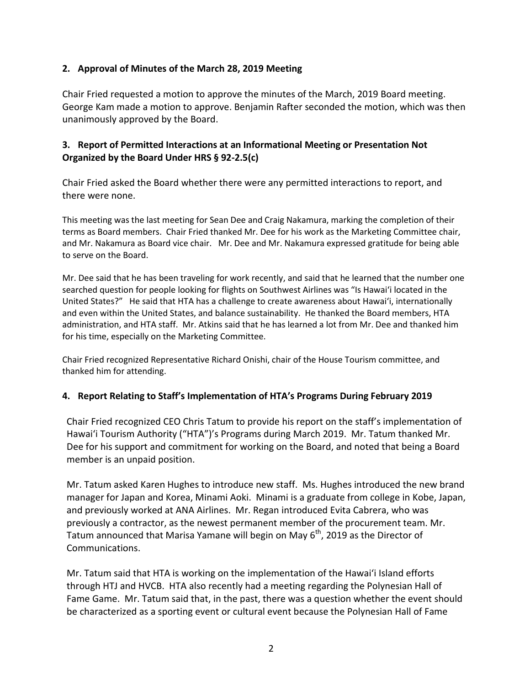#### **2. Approval of Minutes of the March 28, 2019 Meeting**

Chair Fried requested a motion to approve the minutes of the March, 2019 Board meeting. George Kam made a motion to approve. Benjamin Rafter seconded the motion, which was then unanimously approved by the Board.

# **3. Report of Permitted Interactions at an Informational Meeting or Presentation Not Organized by the Board Under HRS § 92-2.5(c)**

Chair Fried asked the Board whether there were any permitted interactions to report, and there were none.

This meeting was the last meeting for Sean Dee and Craig Nakamura, marking the completion of their terms as Board members. Chair Fried thanked Mr. Dee for his work as the Marketing Committee chair, and Mr. Nakamura as Board vice chair. Mr. Dee and Mr. Nakamura expressed gratitude for being able to serve on the Board.

Mr. Dee said that he has been traveling for work recently, and said that he learned that the number one searched question for people looking for flights on Southwest Airlines was "Is Hawai'i located in the United States?" He said that HTA has a challenge to create awareness about Hawai'i, internationally and even within the United States, and balance sustainability. He thanked the Board members, HTA administration, and HTA staff. Mr. Atkins said that he has learned a lot from Mr. Dee and thanked him for his time, especially on the Marketing Committee.

Chair Fried recognized Representative Richard Onishi, chair of the House Tourism committee, and thanked him for attending.

#### **4. Report Relating to Staff's Implementation of HTA's Programs During February 2019**

Chair Fried recognized CEO Chris Tatum to provide his report on the staff's implementation of Hawai'i Tourism Authority ("HTA")'s Programs during March 2019. Mr. Tatum thanked Mr. Dee for his support and commitment for working on the Board, and noted that being a Board member is an unpaid position.

Mr. Tatum asked Karen Hughes to introduce new staff. Ms. Hughes introduced the new brand manager for Japan and Korea, Minami Aoki. Minami is a graduate from college in Kobe, Japan, and previously worked at ANA Airlines. Mr. Regan introduced Evita Cabrera, who was previously a contractor, as the newest permanent member of the procurement team. Mr. Tatum announced that Marisa Yamane will begin on May  $6<sup>th</sup>$ , 2019 as the Director of Communications.

Mr. Tatum said that HTA is working on the implementation of the Hawai'i Island efforts through HTJ and HVCB. HTA also recently had a meeting regarding the Polynesian Hall of Fame Game. Mr. Tatum said that, in the past, there was a question whether the event should be characterized as a sporting event or cultural event because the Polynesian Hall of Fame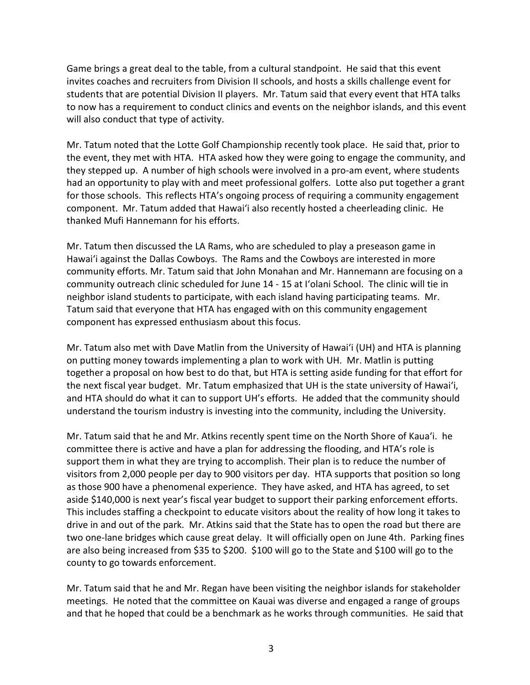Game brings a great deal to the table, from a cultural standpoint. He said that this event invites coaches and recruiters from Division II schools, and hosts a skills challenge event for students that are potential Division II players. Mr. Tatum said that every event that HTA talks to now has a requirement to conduct clinics and events on the neighbor islands, and this event will also conduct that type of activity.

Mr. Tatum noted that the Lotte Golf Championship recently took place. He said that, prior to the event, they met with HTA. HTA asked how they were going to engage the community, and they stepped up. A number of high schools were involved in a pro-am event, where students had an opportunity to play with and meet professional golfers. Lotte also put together a grant for those schools. This reflects HTA's ongoing process of requiring a community engagement component. Mr. Tatum added that Hawai'i also recently hosted a cheerleading clinic. He thanked Mufi Hannemann for his efforts.

Mr. Tatum then discussed the LA Rams, who are scheduled to play a preseason game in Hawai'i against the Dallas Cowboys. The Rams and the Cowboys are interested in more community efforts. Mr. Tatum said that John Monahan and Mr. Hannemann are focusing on a community outreach clinic scheduled for June 14 - 15 at I'olani School. The clinic will tie in neighbor island students to participate, with each island having participating teams. Mr. Tatum said that everyone that HTA has engaged with on this community engagement component has expressed enthusiasm about this focus.

Mr. Tatum also met with Dave Matlin from the University of Hawai'i (UH) and HTA is planning on putting money towards implementing a plan to work with UH. Mr. Matlin is putting together a proposal on how best to do that, but HTA is setting aside funding for that effort for the next fiscal year budget. Mr. Tatum emphasized that UH is the state university of Hawai'i, and HTA should do what it can to support UH's efforts. He added that the community should understand the tourism industry is investing into the community, including the University.

Mr. Tatum said that he and Mr. Atkins recently spent time on the North Shore of Kaua'i. he committee there is active and have a plan for addressing the flooding, and HTA's role is support them in what they are trying to accomplish. Their plan is to reduce the number of visitors from 2,000 people per day to 900 visitors per day. HTA supports that position so long as those 900 have a phenomenal experience. They have asked, and HTA has agreed, to set aside \$140,000 is next year's fiscal year budget to support their parking enforcement efforts. This includes staffing a checkpoint to educate visitors about the reality of how long it takes to drive in and out of the park. Mr. Atkins said that the State has to open the road but there are two one-lane bridges which cause great delay. It will officially open on June 4th. Parking fines are also being increased from \$35 to \$200. \$100 will go to the State and \$100 will go to the county to go towards enforcement.

Mr. Tatum said that he and Mr. Regan have been visiting the neighbor islands for stakeholder meetings. He noted that the committee on Kauai was diverse and engaged a range of groups and that he hoped that could be a benchmark as he works through communities. He said that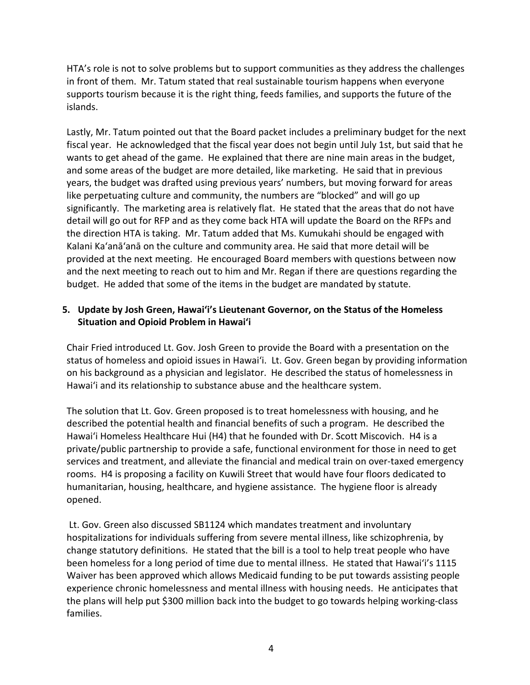HTA's role is not to solve problems but to support communities as they address the challenges in front of them. Mr. Tatum stated that real sustainable tourism happens when everyone supports tourism because it is the right thing, feeds families, and supports the future of the islands.

Lastly, Mr. Tatum pointed out that the Board packet includes a preliminary budget for the next fiscal year. He acknowledged that the fiscal year does not begin until July 1st, but said that he wants to get ahead of the game. He explained that there are nine main areas in the budget, and some areas of the budget are more detailed, like marketing. He said that in previous years, the budget was drafted using previous years' numbers, but moving forward for areas like perpetuating culture and community, the numbers are "blocked" and will go up significantly. The marketing area is relatively flat. He stated that the areas that do not have detail will go out for RFP and as they come back HTA will update the Board on the RFPs and the direction HTA is taking. Mr. Tatum added that Ms. Kumukahi should be engaged with Kalani Ka'anā'anā on the culture and community area. He said that more detail will be provided at the next meeting. He encouraged Board members with questions between now and the next meeting to reach out to him and Mr. Regan if there are questions regarding the budget. He added that some of the items in the budget are mandated by statute.

## **5. Update by Josh Green, Hawai'i's Lieutenant Governor, on the Status of the Homeless Situation and Opioid Problem in Hawai'i**

Chair Fried introduced Lt. Gov. Josh Green to provide the Board with a presentation on the status of homeless and opioid issues in Hawai'i. Lt. Gov. Green began by providing information on his background as a physician and legislator. He described the status of homelessness in Hawai'i and its relationship to substance abuse and the healthcare system.

The solution that Lt. Gov. Green proposed is to treat homelessness with housing, and he described the potential health and financial benefits of such a program. He described the Hawai'i Homeless Healthcare Hui (H4) that he founded with Dr. Scott Miscovich. H4 is a private/public partnership to provide a safe, functional environment for those in need to get services and treatment, and alleviate the financial and medical train on over-taxed emergency rooms. H4 is proposing a facility on Kuwili Street that would have four floors dedicated to humanitarian, housing, healthcare, and hygiene assistance. The hygiene floor is already opened.

Lt. Gov. Green also discussed SB1124 which mandates treatment and involuntary hospitalizations for individuals suffering from severe mental illness, like schizophrenia, by change statutory definitions. He stated that the bill is a tool to help treat people who have been homeless for a long period of time due to mental illness. He stated that Hawai'i's 1115 Waiver has been approved which allows Medicaid funding to be put towards assisting people experience chronic homelessness and mental illness with housing needs. He anticipates that the plans will help put \$300 million back into the budget to go towards helping working-class families.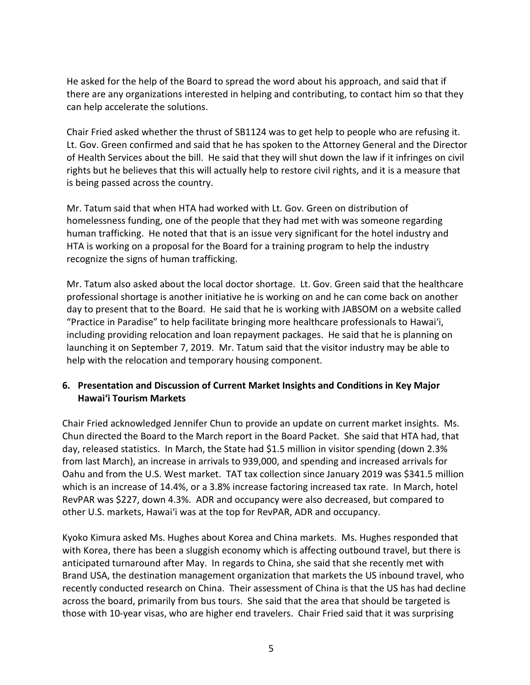He asked for the help of the Board to spread the word about his approach, and said that if there are any organizations interested in helping and contributing, to contact him so that they can help accelerate the solutions.

Chair Fried asked whether the thrust of SB1124 was to get help to people who are refusing it. Lt. Gov. Green confirmed and said that he has spoken to the Attorney General and the Director of Health Services about the bill. He said that they will shut down the law if it infringes on civil rights but he believes that this will actually help to restore civil rights, and it is a measure that is being passed across the country.

Mr. Tatum said that when HTA had worked with Lt. Gov. Green on distribution of homelessness funding, one of the people that they had met with was someone regarding human trafficking. He noted that that is an issue very significant for the hotel industry and HTA is working on a proposal for the Board for a training program to help the industry recognize the signs of human trafficking.

Mr. Tatum also asked about the local doctor shortage. Lt. Gov. Green said that the healthcare professional shortage is another initiative he is working on and he can come back on another day to present that to the Board. He said that he is working with JABSOM on a website called "Practice in Paradise" to help facilitate bringing more healthcare professionals to Hawai'i, including providing relocation and loan repayment packages. He said that he is planning on launching it on September 7, 2019. Mr. Tatum said that the visitor industry may be able to help with the relocation and temporary housing component.

#### **6. Presentation and Discussion of Current Market Insights and Conditions in Key Major Hawai'i Tourism Markets**

Chair Fried acknowledged Jennifer Chun to provide an update on current market insights. Ms. Chun directed the Board to the March report in the Board Packet. She said that HTA had, that day, released statistics. In March, the State had \$1.5 million in visitor spending (down 2.3% from last March), an increase in arrivals to 939,000, and spending and increased arrivals for Oahu and from the U.S. West market. TAT tax collection since January 2019 was \$341.5 million which is an increase of 14.4%, or a 3.8% increase factoring increased tax rate. In March, hotel RevPAR was \$227, down 4.3%. ADR and occupancy were also decreased, but compared to other U.S. markets, Hawai'i was at the top for RevPAR, ADR and occupancy.

Kyoko Kimura asked Ms. Hughes about Korea and China markets. Ms. Hughes responded that with Korea, there has been a sluggish economy which is affecting outbound travel, but there is anticipated turnaround after May. In regards to China, she said that she recently met with Brand USA, the destination management organization that markets the US inbound travel, who recently conducted research on China. Their assessment of China is that the US has had decline across the board, primarily from bus tours. She said that the area that should be targeted is those with 10-year visas, who are higher end travelers. Chair Fried said that it was surprising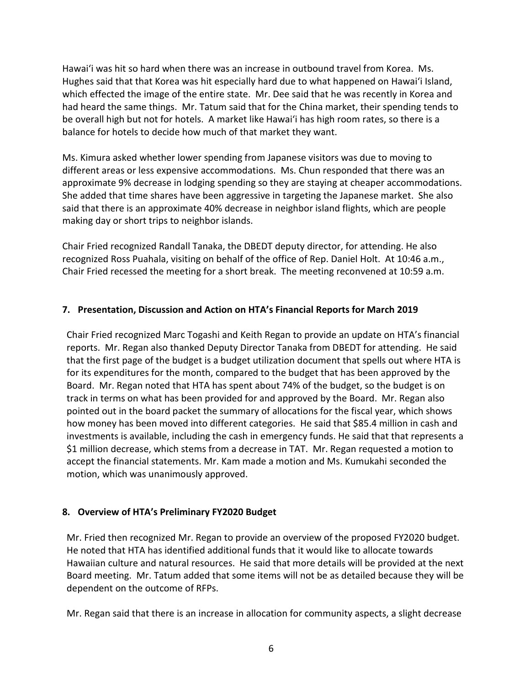Hawai'i was hit so hard when there was an increase in outbound travel from Korea. Ms. Hughes said that that Korea was hit especially hard due to what happened on Hawai'i Island, which effected the image of the entire state. Mr. Dee said that he was recently in Korea and had heard the same things. Mr. Tatum said that for the China market, their spending tends to be overall high but not for hotels. A market like Hawai'i has high room rates, so there is a balance for hotels to decide how much of that market they want.

Ms. Kimura asked whether lower spending from Japanese visitors was due to moving to different areas or less expensive accommodations. Ms. Chun responded that there was an approximate 9% decrease in lodging spending so they are staying at cheaper accommodations. She added that time shares have been aggressive in targeting the Japanese market. She also said that there is an approximate 40% decrease in neighbor island flights, which are people making day or short trips to neighbor islands.

Chair Fried recognized Randall Tanaka, the DBEDT deputy director, for attending. He also recognized Ross Puahala, visiting on behalf of the office of Rep. Daniel Holt. At 10:46 a.m., Chair Fried recessed the meeting for a short break. The meeting reconvened at 10:59 a.m.

#### **7. Presentation, Discussion and Action on HTA's Financial Reports for March 2019**

Chair Fried recognized Marc Togashi and Keith Regan to provide an update on HTA's financial reports. Mr. Regan also thanked Deputy Director Tanaka from DBEDT for attending. He said that the first page of the budget is a budget utilization document that spells out where HTA is for its expenditures for the month, compared to the budget that has been approved by the Board. Mr. Regan noted that HTA has spent about 74% of the budget, so the budget is on track in terms on what has been provided for and approved by the Board. Mr. Regan also pointed out in the board packet the summary of allocations for the fiscal year, which shows how money has been moved into different categories. He said that \$85.4 million in cash and investments is available, including the cash in emergency funds. He said that that represents a \$1 million decrease, which stems from a decrease in TAT. Mr. Regan requested a motion to accept the financial statements. Mr. Kam made a motion and Ms. Kumukahi seconded the motion, which was unanimously approved.

#### **8. Overview of HTA's Preliminary FY2020 Budget**

Mr. Fried then recognized Mr. Regan to provide an overview of the proposed FY2020 budget. He noted that HTA has identified additional funds that it would like to allocate towards Hawaiian culture and natural resources. He said that more details will be provided at the next Board meeting. Mr. Tatum added that some items will not be as detailed because they will be dependent on the outcome of RFPs.

Mr. Regan said that there is an increase in allocation for community aspects, a slight decrease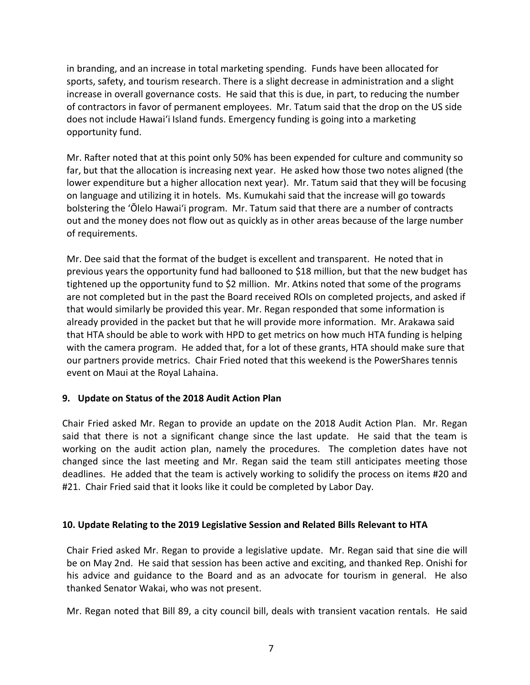in branding, and an increase in total marketing spending. Funds have been allocated for sports, safety, and tourism research. There is a slight decrease in administration and a slight increase in overall governance costs. He said that this is due, in part, to reducing the number of contractors in favor of permanent employees. Mr. Tatum said that the drop on the US side does not include Hawai'i Island funds. Emergency funding is going into a marketing opportunity fund.

Mr. Rafter noted that at this point only 50% has been expended for culture and community so far, but that the allocation is increasing next year. He asked how those two notes aligned (the lower expenditure but a higher allocation next year). Mr. Tatum said that they will be focusing on language and utilizing it in hotels. Ms. Kumukahi said that the increase will go towards bolstering the 'Ōlelo Hawai'i program. Mr. Tatum said that there are a number of contracts out and the money does not flow out as quickly as in other areas because of the large number of requirements.

Mr. Dee said that the format of the budget is excellent and transparent. He noted that in previous years the opportunity fund had ballooned to \$18 million, but that the new budget has tightened up the opportunity fund to \$2 million. Mr. Atkins noted that some of the programs are not completed but in the past the Board received ROIs on completed projects, and asked if that would similarly be provided this year. Mr. Regan responded that some information is already provided in the packet but that he will provide more information. Mr. Arakawa said that HTA should be able to work with HPD to get metrics on how much HTA funding is helping with the camera program. He added that, for a lot of these grants, HTA should make sure that our partners provide metrics. Chair Fried noted that this weekend is the PowerShares tennis event on Maui at the Royal Lahaina.

#### **9. Update on Status of the 2018 Audit Action Plan**

Chair Fried asked Mr. Regan to provide an update on the 2018 Audit Action Plan. Mr. Regan said that there is not a significant change since the last update. He said that the team is working on the audit action plan, namely the procedures. The completion dates have not changed since the last meeting and Mr. Regan said the team still anticipates meeting those deadlines. He added that the team is actively working to solidify the process on items #20 and #21. Chair Fried said that it looks like it could be completed by Labor Day.

#### **10. Update Relating to the 2019 Legislative Session and Related Bills Relevant to HTA**

Chair Fried asked Mr. Regan to provide a legislative update. Mr. Regan said that sine die will be on May 2nd. He said that session has been active and exciting, and thanked Rep. Onishi for his advice and guidance to the Board and as an advocate for tourism in general. He also thanked Senator Wakai, who was not present.

Mr. Regan noted that Bill 89, a city council bill, deals with transient vacation rentals. He said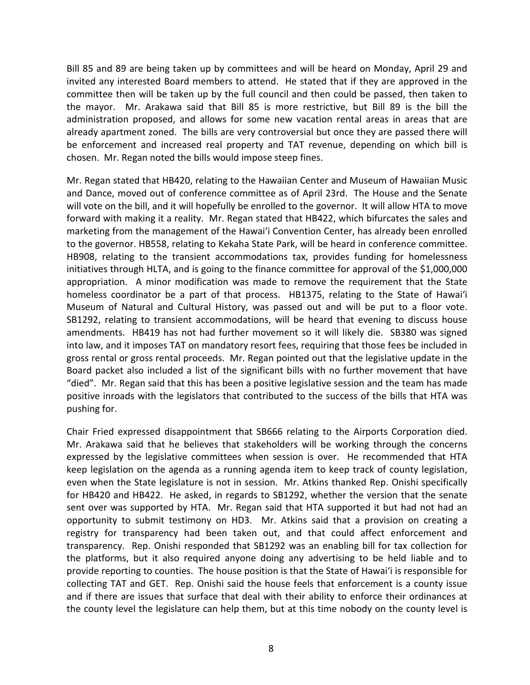Bill 85 and 89 are being taken up by committees and will be heard on Monday, April 29 and invited any interested Board members to attend. He stated that if they are approved in the committee then will be taken up by the full council and then could be passed, then taken to the mayor. Mr. Arakawa said that Bill 85 is more restrictive, but Bill 89 is the bill the administration proposed, and allows for some new vacation rental areas in areas that are already apartment zoned. The bills are very controversial but once they are passed there will be enforcement and increased real property and TAT revenue, depending on which bill is chosen. Mr. Regan noted the bills would impose steep fines.

Mr. Regan stated that HB420, relating to the Hawaiian Center and Museum of Hawaiian Music and Dance, moved out of conference committee as of April 23rd. The House and the Senate will vote on the bill, and it will hopefully be enrolled to the governor. It will allow HTA to move forward with making it a reality. Mr. Regan stated that HB422, which bifurcates the sales and marketing from the management of the Hawai'i Convention Center, has already been enrolled to the governor. HB558, relating to Kekaha State Park, will be heard in conference committee. HB908, relating to the transient accommodations tax, provides funding for homelessness initiatives through HLTA, and is going to the finance committee for approval of the \$1,000,000 appropriation. A minor modification was made to remove the requirement that the State homeless coordinator be a part of that process. HB1375, relating to the State of Hawai'i Museum of Natural and Cultural History, was passed out and will be put to a floor vote. SB1292, relating to transient accommodations, will be heard that evening to discuss house amendments. HB419 has not had further movement so it will likely die. SB380 was signed into law, and it imposes TAT on mandatory resort fees, requiring that those fees be included in gross rental or gross rental proceeds. Mr. Regan pointed out that the legislative update in the Board packet also included a list of the significant bills with no further movement that have "died". Mr. Regan said that this has been a positive legislative session and the team has made positive inroads with the legislators that contributed to the success of the bills that HTA was pushing for.

Chair Fried expressed disappointment that SB666 relating to the Airports Corporation died. Mr. Arakawa said that he believes that stakeholders will be working through the concerns expressed by the legislative committees when session is over. He recommended that HTA keep legislation on the agenda as a running agenda item to keep track of county legislation, even when the State legislature is not in session. Mr. Atkins thanked Rep. Onishi specifically for HB420 and HB422. He asked, in regards to SB1292, whether the version that the senate sent over was supported by HTA. Mr. Regan said that HTA supported it but had not had an opportunity to submit testimony on HD3. Mr. Atkins said that a provision on creating a registry for transparency had been taken out, and that could affect enforcement and transparency. Rep. Onishi responded that SB1292 was an enabling bill for tax collection for the platforms, but it also required anyone doing any advertising to be held liable and to provide reporting to counties. The house position is that the State of Hawai'i is responsible for collecting TAT and GET. Rep. Onishi said the house feels that enforcement is a county issue and if there are issues that surface that deal with their ability to enforce their ordinances at the county level the legislature can help them, but at this time nobody on the county level is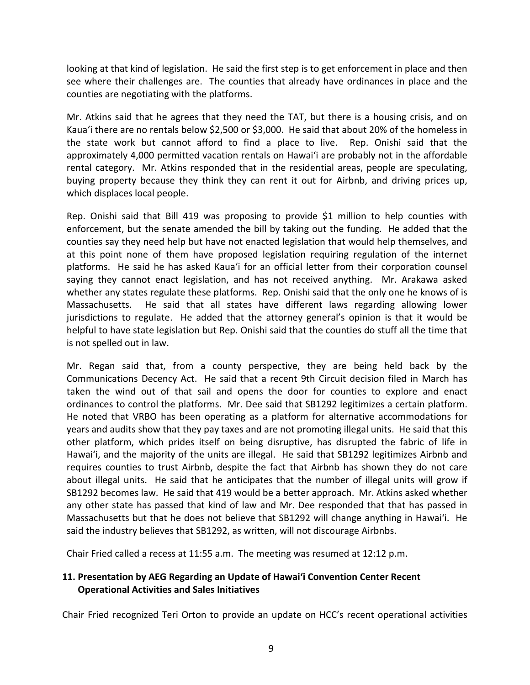looking at that kind of legislation. He said the first step is to get enforcement in place and then see where their challenges are. The counties that already have ordinances in place and the counties are negotiating with the platforms.

Mr. Atkins said that he agrees that they need the TAT, but there is a housing crisis, and on Kaua'i there are no rentals below \$2,500 or \$3,000. He said that about 20% of the homeless in the state work but cannot afford to find a place to live. Rep. Onishi said that the approximately 4,000 permitted vacation rentals on Hawai'i are probably not in the affordable rental category. Mr. Atkins responded that in the residential areas, people are speculating, buying property because they think they can rent it out for Airbnb, and driving prices up, which displaces local people.

Rep. Onishi said that Bill 419 was proposing to provide \$1 million to help counties with enforcement, but the senate amended the bill by taking out the funding. He added that the counties say they need help but have not enacted legislation that would help themselves, and at this point none of them have proposed legislation requiring regulation of the internet platforms. He said he has asked Kaua'i for an official letter from their corporation counsel saying they cannot enact legislation, and has not received anything. Mr. Arakawa asked whether any states regulate these platforms. Rep. Onishi said that the only one he knows of is Massachusetts. He said that all states have different laws regarding allowing lower jurisdictions to regulate. He added that the attorney general's opinion is that it would be helpful to have state legislation but Rep. Onishi said that the counties do stuff all the time that is not spelled out in law.

Mr. Regan said that, from a county perspective, they are being held back by the Communications Decency Act. He said that a recent 9th Circuit decision filed in March has taken the wind out of that sail and opens the door for counties to explore and enact ordinances to control the platforms. Mr. Dee said that SB1292 legitimizes a certain platform. He noted that VRBO has been operating as a platform for alternative accommodations for years and audits show that they pay taxes and are not promoting illegal units. He said that this other platform, which prides itself on being disruptive, has disrupted the fabric of life in Hawai'i, and the majority of the units are illegal. He said that SB1292 legitimizes Airbnb and requires counties to trust Airbnb, despite the fact that Airbnb has shown they do not care about illegal units. He said that he anticipates that the number of illegal units will grow if SB1292 becomes law. He said that 419 would be a better approach. Mr. Atkins asked whether any other state has passed that kind of law and Mr. Dee responded that that has passed in Massachusetts but that he does not believe that SB1292 will change anything in Hawai'i. He said the industry believes that SB1292, as written, will not discourage Airbnbs.

Chair Fried called a recess at 11:55 a.m. The meeting was resumed at 12:12 p.m.

# **11. Presentation by AEG Regarding an Update of Hawai'i Convention Center Recent Operational Activities and Sales Initiatives**

Chair Fried recognized Teri Orton to provide an update on HCC's recent operational activities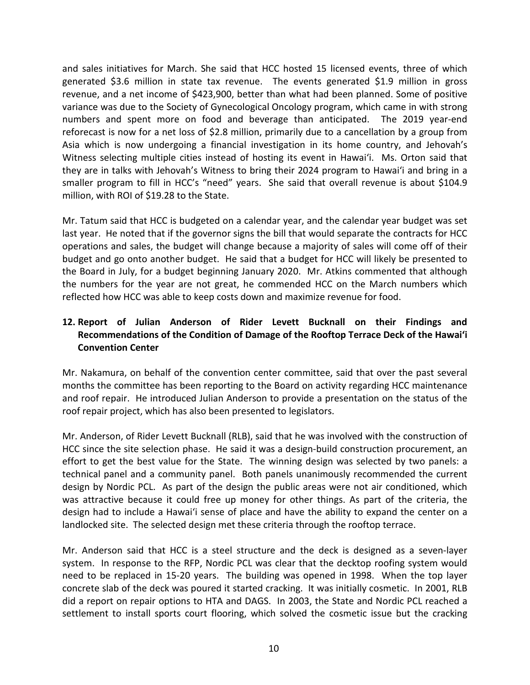and sales initiatives for March. She said that HCC hosted 15 licensed events, three of which generated \$3.6 million in state tax revenue. The events generated \$1.9 million in gross revenue, and a net income of \$423,900, better than what had been planned. Some of positive variance was due to the Society of Gynecological Oncology program, which came in with strong numbers and spent more on food and beverage than anticipated. The 2019 year-end reforecast is now for a net loss of \$2.8 million, primarily due to a cancellation by a group from Asia which is now undergoing a financial investigation in its home country, and Jehovah's Witness selecting multiple cities instead of hosting its event in Hawai'i. Ms. Orton said that they are in talks with Jehovah's Witness to bring their 2024 program to Hawai'i and bring in a smaller program to fill in HCC's "need" years. She said that overall revenue is about \$104.9 million, with ROI of \$19.28 to the State.

Mr. Tatum said that HCC is budgeted on a calendar year, and the calendar year budget was set last year. He noted that if the governor signs the bill that would separate the contracts for HCC operations and sales, the budget will change because a majority of sales will come off of their budget and go onto another budget. He said that a budget for HCC will likely be presented to the Board in July, for a budget beginning January 2020. Mr. Atkins commented that although the numbers for the year are not great, he commended HCC on the March numbers which reflected how HCC was able to keep costs down and maximize revenue for food.

# **12. Report of Julian Anderson of Rider Levett Bucknall on their Findings and Recommendations of the Condition of Damage of the Rooftop Terrace Deck of the Hawai'i Convention Center**

Mr. Nakamura, on behalf of the convention center committee, said that over the past several months the committee has been reporting to the Board on activity regarding HCC maintenance and roof repair. He introduced Julian Anderson to provide a presentation on the status of the roof repair project, which has also been presented to legislators.

Mr. Anderson, of Rider Levett Bucknall (RLB), said that he was involved with the construction of HCC since the site selection phase. He said it was a design-build construction procurement, an effort to get the best value for the State. The winning design was selected by two panels: a technical panel and a community panel. Both panels unanimously recommended the current design by Nordic PCL. As part of the design the public areas were not air conditioned, which was attractive because it could free up money for other things. As part of the criteria, the design had to include a Hawai'i sense of place and have the ability to expand the center on a landlocked site. The selected design met these criteria through the rooftop terrace.

Mr. Anderson said that HCC is a steel structure and the deck is designed as a seven-layer system. In response to the RFP, Nordic PCL was clear that the decktop roofing system would need to be replaced in 15-20 years. The building was opened in 1998. When the top layer concrete slab of the deck was poured it started cracking. It was initially cosmetic. In 2001, RLB did a report on repair options to HTA and DAGS. In 2003, the State and Nordic PCL reached a settlement to install sports court flooring, which solved the cosmetic issue but the cracking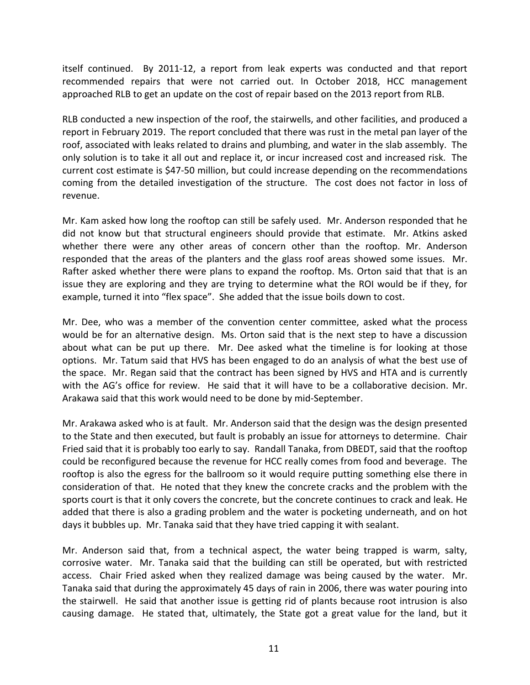itself continued. By 2011-12, a report from leak experts was conducted and that report recommended repairs that were not carried out. In October 2018, HCC management approached RLB to get an update on the cost of repair based on the 2013 report from RLB.

RLB conducted a new inspection of the roof, the stairwells, and other facilities, and produced a report in February 2019. The report concluded that there was rust in the metal pan layer of the roof, associated with leaks related to drains and plumbing, and water in the slab assembly. The only solution is to take it all out and replace it, or incur increased cost and increased risk. The current cost estimate is \$47-50 million, but could increase depending on the recommendations coming from the detailed investigation of the structure. The cost does not factor in loss of revenue.

Mr. Kam asked how long the rooftop can still be safely used. Mr. Anderson responded that he did not know but that structural engineers should provide that estimate. Mr. Atkins asked whether there were any other areas of concern other than the rooftop. Mr. Anderson responded that the areas of the planters and the glass roof areas showed some issues. Mr. Rafter asked whether there were plans to expand the rooftop. Ms. Orton said that that is an issue they are exploring and they are trying to determine what the ROI would be if they, for example, turned it into "flex space". She added that the issue boils down to cost.

Mr. Dee, who was a member of the convention center committee, asked what the process would be for an alternative design. Ms. Orton said that is the next step to have a discussion about what can be put up there. Mr. Dee asked what the timeline is for looking at those options. Mr. Tatum said that HVS has been engaged to do an analysis of what the best use of the space. Mr. Regan said that the contract has been signed by HVS and HTA and is currently with the AG's office for review. He said that it will have to be a collaborative decision. Mr. Arakawa said that this work would need to be done by mid-September.

Mr. Arakawa asked who is at fault. Mr. Anderson said that the design was the design presented to the State and then executed, but fault is probably an issue for attorneys to determine. Chair Fried said that it is probably too early to say. Randall Tanaka, from DBEDT, said that the rooftop could be reconfigured because the revenue for HCC really comes from food and beverage. The rooftop is also the egress for the ballroom so it would require putting something else there in consideration of that. He noted that they knew the concrete cracks and the problem with the sports court is that it only covers the concrete, but the concrete continues to crack and leak. He added that there is also a grading problem and the water is pocketing underneath, and on hot days it bubbles up. Mr. Tanaka said that they have tried capping it with sealant.

Mr. Anderson said that, from a technical aspect, the water being trapped is warm, salty, corrosive water. Mr. Tanaka said that the building can still be operated, but with restricted access. Chair Fried asked when they realized damage was being caused by the water. Mr. Tanaka said that during the approximately 45 days of rain in 2006, there was water pouring into the stairwell. He said that another issue is getting rid of plants because root intrusion is also causing damage. He stated that, ultimately, the State got a great value for the land, but it